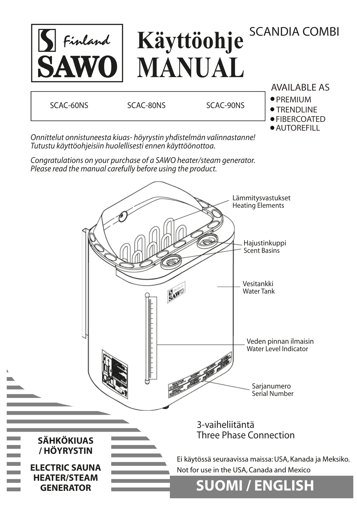### SCANDIA COMBI Käyttöohje S Finland **SAW0 MANUAL** AVAILABLE AS

SCAC-60NS SCAC-80NS SCAC-90NS

•PREMIUM ● TRENDLINE

● FIBERCOATED

● AUTOREFILL

*Onnittelut onnistuneesta kiuas- höyrystin yhdistelmän valinnastanne! Tutustu käyttöohjeisiin huolellisesti ennen käyttöönottoa.*

*Congratulations on your purchase of a SAWO heater/steam generator. Please read the manual carefully before using the product.*

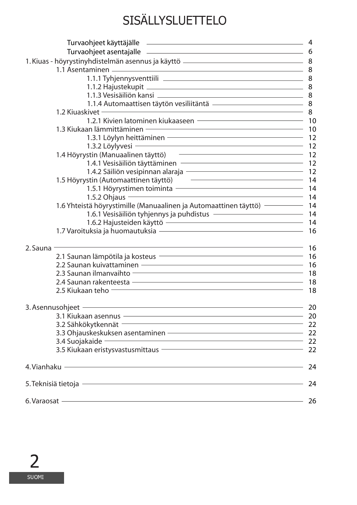# SISÄLLYSLUETTELO

| $\overline{\qquad \qquad }$ 8<br>1.2 Kiuaskivet <b>Williams</b>                                                                                                                                                                                                                                                                                                              |     |  |  |  |  |  |  |  |
|------------------------------------------------------------------------------------------------------------------------------------------------------------------------------------------------------------------------------------------------------------------------------------------------------------------------------------------------------------------------------|-----|--|--|--|--|--|--|--|
|                                                                                                                                                                                                                                                                                                                                                                              |     |  |  |  |  |  |  |  |
| $\frac{1}{2}$ $\frac{1}{2}$ $\frac{1}{2}$ $\frac{1}{2}$ $\frac{1}{2}$ $\frac{1}{2}$ $\frac{1}{2}$ $\frac{1}{2}$ $\frac{1}{2}$ $\frac{1}{2}$ $\frac{1}{2}$ $\frac{1}{2}$ $\frac{1}{2}$ $\frac{1}{2}$ $\frac{1}{2}$ $\frac{1}{2}$ $\frac{1}{2}$ $\frac{1}{2}$ $\frac{1}{2}$ $\frac{1}{2}$ $\frac{1}{2}$ $\frac{1}{2}$<br>1.3 Kiukaan lämmittäminen - Tallinnan muutta kuuluvat |     |  |  |  |  |  |  |  |
| 1.3.1 Löylyn heittäminen – allen allen allen allen allen allen allen allen allen allen allen allen allen alle                                                                                                                                                                                                                                                                |     |  |  |  |  |  |  |  |
|                                                                                                                                                                                                                                                                                                                                                                              |     |  |  |  |  |  |  |  |
|                                                                                                                                                                                                                                                                                                                                                                              |     |  |  |  |  |  |  |  |
| 1.4.1 Vesisäiliön täyttäminen – Tartaman kunnan kunnan valtaa kunnan valtaa 12                                                                                                                                                                                                                                                                                               |     |  |  |  |  |  |  |  |
| 1.4.2 Säiliön vesipinnan alaraja – Tallinnan muutta 12                                                                                                                                                                                                                                                                                                                       |     |  |  |  |  |  |  |  |
|                                                                                                                                                                                                                                                                                                                                                                              |     |  |  |  |  |  |  |  |
|                                                                                                                                                                                                                                                                                                                                                                              |     |  |  |  |  |  |  |  |
|                                                                                                                                                                                                                                                                                                                                                                              |     |  |  |  |  |  |  |  |
| 1.6 Yhteistä höyrystimille (Manuaalinen ja Automaattinen täyttö) - 14                                                                                                                                                                                                                                                                                                        |     |  |  |  |  |  |  |  |
|                                                                                                                                                                                                                                                                                                                                                                              |     |  |  |  |  |  |  |  |
| 1.6.2 Hajusteiden käyttö                                                                                                                                                                                                                                                                                                                                                     |     |  |  |  |  |  |  |  |
| 1.7 Varoituksia ja huomautuksia eli kunnaan kunnaan valtaa kunnaan valtaa valtaa valtaa valtaa valtaa valtaa v                                                                                                                                                                                                                                                               |     |  |  |  |  |  |  |  |
|                                                                                                                                                                                                                                                                                                                                                                              |     |  |  |  |  |  |  |  |
| 2. Sauna -                                                                                                                                                                                                                                                                                                                                                                   |     |  |  |  |  |  |  |  |
| 2.1 Saunan lämpötila ja kosteus etteen muuta on muutta 16                                                                                                                                                                                                                                                                                                                    |     |  |  |  |  |  |  |  |
| 2.2 Saunan kuivattaminen — alle alut alut 2.2 Saunan kuivattaminen – alut alut alut alut alut alut 2.2 Saunan                                                                                                                                                                                                                                                                |     |  |  |  |  |  |  |  |
|                                                                                                                                                                                                                                                                                                                                                                              |     |  |  |  |  |  |  |  |
|                                                                                                                                                                                                                                                                                                                                                                              |     |  |  |  |  |  |  |  |
| 2.5 Kiukaan teho                                                                                                                                                                                                                                                                                                                                                             |     |  |  |  |  |  |  |  |
| 3. Asennusohjeet - 20                                                                                                                                                                                                                                                                                                                                                        |     |  |  |  |  |  |  |  |
| 3.1 Kiukaan asennus – 20                                                                                                                                                                                                                                                                                                                                                     |     |  |  |  |  |  |  |  |
| 3.2 Sähkökytkennät – 22 million kuuluusella 1920 million kuuluusella 1920 million kuuluusella 1920 million kuu<br>1922 million kuuluusella 1930 million kuuluusella 1930 million kuuluusella 1930 million kuuluusella 1930 milli                                                                                                                                             |     |  |  |  |  |  |  |  |
|                                                                                                                                                                                                                                                                                                                                                                              |     |  |  |  |  |  |  |  |
| 3.4 Suojakaide 22                                                                                                                                                                                                                                                                                                                                                            |     |  |  |  |  |  |  |  |
| 3.5 Kiukaan eristysvastusmittaus – 1988 m. 1988 m. 1988 m. 1988 m. 1988 m. 1988 m. 1988 m. 1988 m. 1988 m. 19                                                                                                                                                                                                                                                                |     |  |  |  |  |  |  |  |
|                                                                                                                                                                                                                                                                                                                                                                              |     |  |  |  |  |  |  |  |
| 4. Vianhaku - Andrea Maria Andrea Maria Andrea Maria Andrea Maria Andrea Maria Andrea Maria Andrea Maria Andre                                                                                                                                                                                                                                                               | 24  |  |  |  |  |  |  |  |
| 5. Teknisiä tietoja elokuutaan kuuluvat kuuluvat kuuluvat kuuluvat kuuluvat kuuluvat kuuluvat kuuluvat kuuluva                                                                                                                                                                                                                                                               | 24  |  |  |  |  |  |  |  |
| 6. Varaosat — Maria Maria Maria Maria Maria Maria Maria Maria Maria Maria Maria Maria Maria Maria Maria Maria                                                                                                                                                                                                                                                                | -26 |  |  |  |  |  |  |  |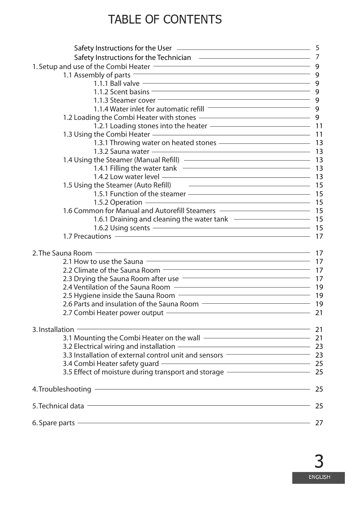# TABLE OF CONTENTS

| Safety Instructions for the User (2008) 2009 2010 2021 2022 2023                                                                                                                                                                                                                                                                                                                                                                                                               |      |  |  |  |  |  |  |  |
|--------------------------------------------------------------------------------------------------------------------------------------------------------------------------------------------------------------------------------------------------------------------------------------------------------------------------------------------------------------------------------------------------------------------------------------------------------------------------------|------|--|--|--|--|--|--|--|
| Safety Instructions for the Technician<br>1. Setup and use of the Combi Heater<br>1.1 Assembly of parts<br>9                                                                                                                                                                                                                                                                                                                                                                   |      |  |  |  |  |  |  |  |
|                                                                                                                                                                                                                                                                                                                                                                                                                                                                                |      |  |  |  |  |  |  |  |
|                                                                                                                                                                                                                                                                                                                                                                                                                                                                                |      |  |  |  |  |  |  |  |
|                                                                                                                                                                                                                                                                                                                                                                                                                                                                                |      |  |  |  |  |  |  |  |
| $\frac{11.12 \text{ Scent basis}}{9}$                                                                                                                                                                                                                                                                                                                                                                                                                                          |      |  |  |  |  |  |  |  |
|                                                                                                                                                                                                                                                                                                                                                                                                                                                                                |      |  |  |  |  |  |  |  |
| 1.1.4 Water inlet for automatic refill <u>subsequently</u> g                                                                                                                                                                                                                                                                                                                                                                                                                   |      |  |  |  |  |  |  |  |
| 1.2 Loading the Combi Heater with stones ———————————————————— 9                                                                                                                                                                                                                                                                                                                                                                                                                |      |  |  |  |  |  |  |  |
|                                                                                                                                                                                                                                                                                                                                                                                                                                                                                |      |  |  |  |  |  |  |  |
|                                                                                                                                                                                                                                                                                                                                                                                                                                                                                |      |  |  |  |  |  |  |  |
|                                                                                                                                                                                                                                                                                                                                                                                                                                                                                |      |  |  |  |  |  |  |  |
| 1.3.1 Throwing water on heated stones - The Management Community 13                                                                                                                                                                                                                                                                                                                                                                                                            |      |  |  |  |  |  |  |  |
| 1.3.2 Sauna water - 2.2 Australian Management Communication and the 13                                                                                                                                                                                                                                                                                                                                                                                                         |      |  |  |  |  |  |  |  |
|                                                                                                                                                                                                                                                                                                                                                                                                                                                                                |      |  |  |  |  |  |  |  |
|                                                                                                                                                                                                                                                                                                                                                                                                                                                                                |      |  |  |  |  |  |  |  |
|                                                                                                                                                                                                                                                                                                                                                                                                                                                                                |      |  |  |  |  |  |  |  |
| 1.5 Using the Steamer (Auto Refill) 25                                                                                                                                                                                                                                                                                                                                                                                                                                         |      |  |  |  |  |  |  |  |
|                                                                                                                                                                                                                                                                                                                                                                                                                                                                                |      |  |  |  |  |  |  |  |
|                                                                                                                                                                                                                                                                                                                                                                                                                                                                                |      |  |  |  |  |  |  |  |
| 1.6 Common for Manual and Autorefill Steamers ————————————————————15                                                                                                                                                                                                                                                                                                                                                                                                           |      |  |  |  |  |  |  |  |
| 1.6.1 Draining and cleaning the water tank ———————————————————— 15                                                                                                                                                                                                                                                                                                                                                                                                             |      |  |  |  |  |  |  |  |
| 1.6.1 Diamning and cleaning the material cannot and the contract of the 1.7 Precautions — 17<br>1.7 Precautions — 17                                                                                                                                                                                                                                                                                                                                                           |      |  |  |  |  |  |  |  |
|                                                                                                                                                                                                                                                                                                                                                                                                                                                                                |      |  |  |  |  |  |  |  |
| 2. The Sauna Room -                                                                                                                                                                                                                                                                                                                                                                                                                                                            |      |  |  |  |  |  |  |  |
|                                                                                                                                                                                                                                                                                                                                                                                                                                                                                |      |  |  |  |  |  |  |  |
|                                                                                                                                                                                                                                                                                                                                                                                                                                                                                |      |  |  |  |  |  |  |  |
| 2.3 Drying the Sauna Room after use <b>Constanting the Sauna Room after use</b>                                                                                                                                                                                                                                                                                                                                                                                                |      |  |  |  |  |  |  |  |
|                                                                                                                                                                                                                                                                                                                                                                                                                                                                                |      |  |  |  |  |  |  |  |
|                                                                                                                                                                                                                                                                                                                                                                                                                                                                                |      |  |  |  |  |  |  |  |
| 2.4 Vermanism of the Sauna Room<br>2.5 Hygiene inside the Sauna Room<br>2.6 Parts and insulation of the Sauna Room<br>2.6 Parts and insulation of the Sauna Room                                                                                                                                                                                                                                                                                                               |      |  |  |  |  |  |  |  |
|                                                                                                                                                                                                                                                                                                                                                                                                                                                                                |      |  |  |  |  |  |  |  |
| 2.7 Combi Heater power output                                                                                                                                                                                                                                                                                                                                                                                                                                                  |      |  |  |  |  |  |  |  |
| $\begin{array}{c c c c c c} \hline \multicolumn{3}{c }{\textbf{1}} & \multicolumn{3}{c }{\textbf{21}} \\ \hline \multicolumn{3}{c }{\textbf{22}} & \multicolumn{3}{c }{\textbf{23}} \\ \hline \multicolumn{3}{c }{\textbf{24}} & \multicolumn{3}{c }{\textbf{25}} \\ \hline \multicolumn{3}{c }{\textbf{26}} & \multicolumn{3}{c }{\textbf{27}} \\ \hline \multicolumn{3}{c }{\textbf{28}} & \multicolumn{3}{c }{\textbf{29}} \\ \hline \multicolumn{3$<br>3. Installation $-$ |      |  |  |  |  |  |  |  |
| 3.1 Mounting the Combi Heater on the wall - 21                                                                                                                                                                                                                                                                                                                                                                                                                                 |      |  |  |  |  |  |  |  |
|                                                                                                                                                                                                                                                                                                                                                                                                                                                                                |      |  |  |  |  |  |  |  |
| 3.3 Installation of external control unit and sensors ———————————————————————————                                                                                                                                                                                                                                                                                                                                                                                              |      |  |  |  |  |  |  |  |
| 3.4 Combi Heater safety guard - 25                                                                                                                                                                                                                                                                                                                                                                                                                                             |      |  |  |  |  |  |  |  |
| 3.5 Effect of moisture during transport and storage ———————————————————— 25                                                                                                                                                                                                                                                                                                                                                                                                    |      |  |  |  |  |  |  |  |
| 4. Troubleshooting - 25                                                                                                                                                                                                                                                                                                                                                                                                                                                        |      |  |  |  |  |  |  |  |
|                                                                                                                                                                                                                                                                                                                                                                                                                                                                                |      |  |  |  |  |  |  |  |
| 5. Technical data <b>contract and the contract of the contract of the contract of the contract of the contract of the contract of the contract of the contract of the contract of the contract of the contract of the contract o</b>                                                                                                                                                                                                                                           | - 25 |  |  |  |  |  |  |  |
| <u> 1980 - Johann Stoff, deutscher Stoffen und der Stoffen und der Stoffen und der Stoffen und der Stoffen und der</u>                                                                                                                                                                                                                                                                                                                                                         | 27   |  |  |  |  |  |  |  |
| 6. Spare parts $-$                                                                                                                                                                                                                                                                                                                                                                                                                                                             |      |  |  |  |  |  |  |  |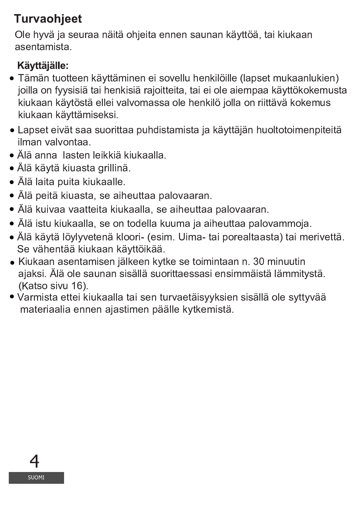# **Turvaohjeet**

Ole hyvä ja seuraa näitä ohjeita ennen saunan käyttöä, tai kiukaan asentamista.

# Käyttäjälle:

- Tämän tuotteen käyttäminen ei sovellu henkilöille (lapset mukaanlukien) joilla on fyysisiä tai henkisiä rajoitteita, tai ei ole aiempaa käyttökokemusta kiukaan käytöstä ellei valvomassa ole henkilö jolla on riittävä kokemus kiukaan käyttämiseksi.
- Lapset eivät saa suorittaa puhdistamista ja käyttäjän huoltotoimenpiteitä ilman valvontaa.
- Älä anna lasten leikkiä kiukaalla.
- Älä käytä kiuasta grillinä.
- · Älä laita puita kiukaalle.
- Älä peitä kiuasta, se aiheuttaa palovaaran.
- · Älä kuivaa vaatteita kiukaalla, se aiheuttaa palovaaran.
- · Älä istu kiukaalla, se on todella kuuma ja aiheuttaa palovammoja.
- · Älä käytä löylyvetenä kloori- (esim. Uima- tai porealtaasta) tai merivettä. Se vähentää kiukaan käyttöikää.
- Kiukaan asentamisen jälkeen kytke se toimintaan n. 30 minuutin ajaksi. Älä ole saunan sisällä suorittaessasi ensimmäistä lämmitystä. (Katso sivu 16).
- Varmista ettei kiukaalla tai sen turvaetäisyyksien sisällä ole syttyvää materiaalia ennen ajastimen päälle kytkemistä.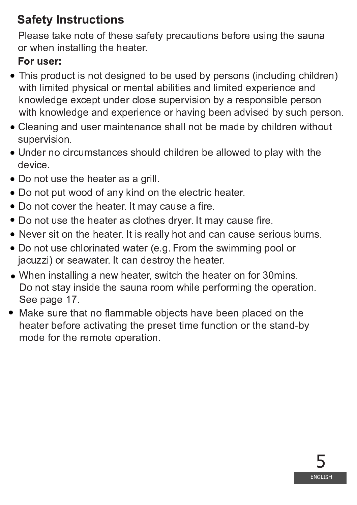# **Safety Instructions**

Please take note of these safety precautions before using the sauna or when installing the heater.

# For user:

- This product is not designed to be used by persons (including children) with limited physical or mental abilities and limited experience and knowledge except under close supervision by a responsible person with knowledge and experience or having been advised by such person.
- Cleaning and user maintenance shall not be made by children without supervision.
- Under no circumstances should children be allowed to play with the device.
- $\bullet$  Do not use the heater as a grill.
- $\bullet$  Do not put wood of any kind on the electric heater.
- $\bullet$  Do not cover the heater. It may cause a fire.
- $\bullet$  Do not use the heater as clothes dryer. It may cause fire.
- Never sit on the heater. It is really hot and can cause serious burns.
- Do not use chlorinated water (e.g. From the swimming pool or jacuzzi) or seawater. It can destroy the heater.
- $\bullet$  When installing a new heater, switch the heater on for 30 mins. Do not stay inside the sauna room while performing the operation. <sup>x</sup> <sup>x</sup> <sup>x</sup>
- $\bullet$  Make sure that no flammable objects have been placed on the heater before activating the preset time function or the stand-by mode for the remote operation.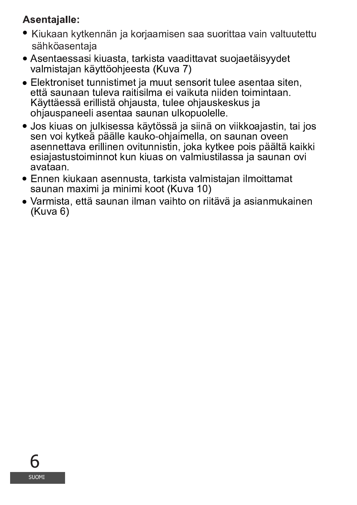# **Asentajalle:**

- Kiukaan kytkennän ja korjaamisen saa suorittaa vain valtuutettu sähköasentaja
- Asentaessasi kiuasta, tarkista vaadittavat suojaetäisyydet valmistajan käyttöohjeesta (Kuva 7)
- Elektroniset tunnistimet ja muut sensorit tulee asentaa siten, että saunaan tuleva raitisilma ei vaikuta niiden toimintaan. Käyttäessä erillistä ohjausta, tulee ohjauskeskus ja ohjauspaneeli asentaa saunan ulkopuolelle.
- · Jos kiuas on julkisessa käytössä ja siinä on viikkoajastin, tai jos sen voi kytkeä päälle kauko-ohjaimella, on saunan oveen asennettava erillinen ovitunnistin, joka kytkee pois päältä kaikki esiajastustoiminnot kun kiuas on valmiustilassa ja saunan ovi avataan.
- Ennen kiukaan asennusta, tarkista valmistajan ilmoittamat saunan maximi ja minimi koot (Kuva 10)
- Varmista, että saunan ilman vaihto on riitävä ja asianmukainen  $(Kuva 6)$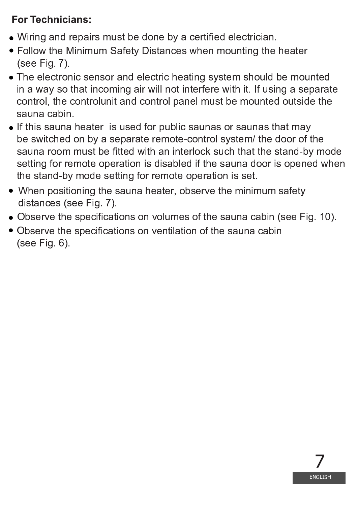### **For Technicians:**

- Wiring and repairs must be done by a certified electrician.
- Follow the Minimum Safety Distances when mounting the heater (see Fig. 7).
- The electronic sensor and electric heating system should be mounted in a way so that incoming air will not interfere with it. If using a separate control, the controlunit and control panel must be mounted outside the sauna cabin.
- If this sauna heater is used for public saunas or saunas that may be switched on by a separate remote-control system/ the door of the sauna room must be fitted with an interlock such that the stand-by mode setting for remote operation is disabled if the sauna door is opened when the stand-by mode setting for remote operation is set.
- When positioning the sauna heater, observe the minimum safety distances (see Fig. 7).
- Observe the specifications on volumes of the sauna cabin (see Fig. 10).
- Observe the specifications on ventilation of the sauna cabin  $(see Fig. 6).$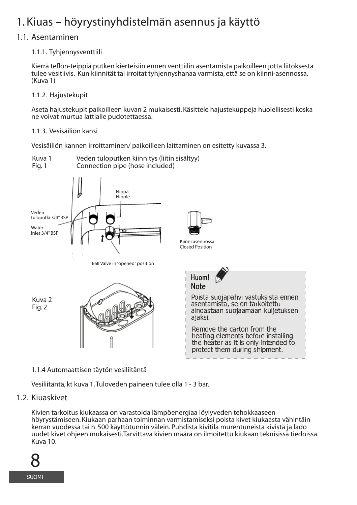# 1. Kiuas – höyrystinyhdistelmän asennus ja käyttö

#### 1.1. Asentaminen

#### 1.1.1. Tyhjennysventtiili

Kierrä teflon-teippiä putken kierteisiin ennen venttiilin asentamista paikoilleen jotta liitoksesta tulee vesitiivis. Kun kiinnität tai irroitat tyhjennyshanaa varmista, että se on kiinni-asennossa. (Kuva 1)

#### 1.1.2. Hajustekupit

Aseta hajustekupit paikoilleen kuvan 2 mukaisesti. Käsittele hajustekuppeja huolellisesti koska ne voivat murtua lattialle pudotettaessa.

#### 1.1.3. Vesisäiliön kansi

Vesisäiliön kannen irroittaminen/ paikoilleen laittaminen on esitetty kuvassa 3.



#### 1.1.4 Automaattisen täytön vesiliitäntä

Vesiliitäntä, kt kuva 1. Tuloveden paineen tulee olla 1 - 3 bar.

#### 1.2. Kiuaskivet

Kivien tarkoitus kiukaassa on varastoida lämpöenergiaa löylyveden tehokkaaseen hövrystämiseen. Kiukaan parhaan toiminnan varmistamiseksi poista kivet kiukaasta vähintäin kerran vuodessa tai n. 500 käyttötunnin välein. Puhdista kivitila murentuneista kivistä ja lado uudet kivet ohjeen mukaisesti. Tarvittava kivien määrä on ilmoitettu kiukaan teknisissä tiedoissa. Kuva 10.

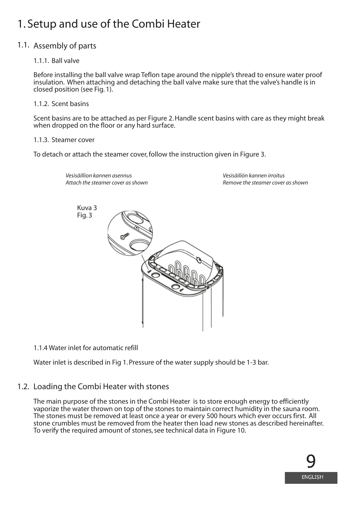# 1. Setup and use of the Combi Heater

*Vesisäillion kannen asennus* 

#### 1.1. Assembly of parts

#### 1.1.1. Ball valve

Before installing the ball valve wrap Teflon tape around the nipple's thread to ensure water proof insulation. When attaching and detaching the ball valve make sure that the valve's handle is in closed position (see Fig. 1).

#### 1.1.2. Scent basins

Scent basins are to be attached as per Figure 2. Handle scent basins with care as they might break when dropped on the floor or any hard surface.

*Vesisäiliön kannen irroitus*

#### 1.1.3. Steamer cover

To detach or attach the steamer cover, follow the instruction given in Figure 3.

Kuva 3 Fig. 3 *Attach the steamer cover as shown Remove the steamer cover as shown*

1.1.4 Water inlet for automatic refill

Water inlet is described in Fig 1. Pressure of the water supply should be 1-3 bar.

#### 1.2. Loading the Combi Heater with stones

The main purpose of the stones in the Combi Heater is to store enough energy to efficiently vaporize the water thrown on top of the stones to maintain correct humidity in the sauna room. The stones must be removed at least once a year or every 500 hours which ever occurs first. All stone crumbles must be removed from the heater then load new stones as described hereinafter. To verify the required amount of stones, see technical data in Figure 10.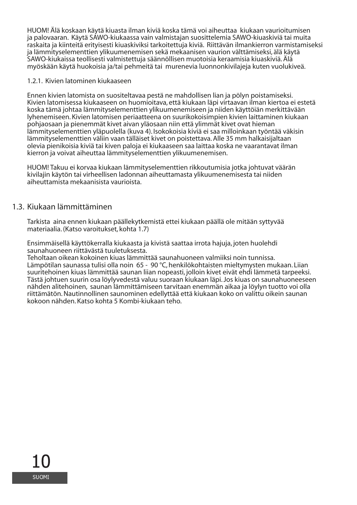HUOM! Älä koskaan käytä kiuasta ilman kiviä koska tämä voi aiheuttaa kiukaan vaurioitumisen ja palovaaran. Käytä SAWO-kiukaassa vain valmistajan suosittelemia SAWO-kiuaskiviä tai muita raskaita ja kiinteitä erityisesti kiuaskiviksi tarkoitettuja kiviä. Riittävän ilmankierron varmistamiseksi ja lämmityselementtien ylikuumenemisen sekä mekaanisen vaurion välttämiseksi, älä käytä SAWO-kiukaissa teollisesti valmistettuja säännöllisen muotoisia keraamisia kiuaskiviä. Älä myöskään käytä huokoisia ja/tai pehmeitä tai murenevia luonnonkivilajeja kuten vuolukiveä.

#### 1.2.1. Kivien latominen kiukaaseen

Ennen kivien latomista on suositeltavaa pestä ne mahdollisen lian ja pölyn poistamiseksi. Kivien latomisessa kiukaaseen on huomioitava, että kiukaan läpi virtaavan ilman kiertoa ei estetä koska tämä johtaa lämmityselementtien ylikuumenemiseen ja niiden käyttöiän merkittävään lyhenemiseen. Kivien latomisen periaatteena on suurikokoisimpien kivien laittaminen kiukaan pohjaosaan ja pienemmät kivet aivan yläosaan niin että ylimmät kivet ovat hieman lämmityselementtien yläpuolella (kuva 4). Isokokoisia kiviä ei saa milloinkaan työntää väkisin lämmityselementtien väliin vaan tälläiset kivet on poistettava. Alle 35 mm halkaisijaltaan olevia pienikoisia kiviä tai kiven paloja ei kiukaaseen saa laittaa koska ne vaarantavat ilman kierron ja voivat aiheuttaa lämmityselementtien ylikuumenemisen.

HUOM! Takuu ei korvaa kiukaan lämmityselementtien rikkoutumisia jotka johtuvat väärän kivilajin käytön tai virheellisen ladonnan aiheuttamasta ylikuumenemisesta tai niiden aiheuttamista mekaanisista vaurioista.

#### 1.3. Kiukaan lämmittäminen

Tarkista aina ennen kiukaan päällekytkemistä ettei kiukaan päällä ole mitään syttyvää materiaalia. (Katso varoitukset, kohta 1.7)

Ensimmäisellä käyttökerralla kiukaasta ja kivistä saattaa irrota hajuja, joten huolehdi saunahuoneen riittävästä tuuletuksesta.

Teholtaan oikean kokoinen kiuas lämmittää saunahuoneen valmiiksi noin tunnissa. Lämpötilan saunassa tulisi olla noin 65 - 90 °C, henkilökohtaisten mieltymysten mukaan. Liian suuritehoinen kiuas lämmittää saunan liian nopeasti, jolloin kivet eivät ehdi lämmetä tarpeeksi. Tästä johtuen suurin osa löylyvedestä valuu suoraan kiukaan läpi. Jos kiuas on saunahuoneeseen nähden alitehoinen, saunan lämmittämiseen tarvitaan enemmän aikaa ja löylyn tuotto voi olla riittämätön. Nautinnollinen saunominen edellyttää että kiukaan koko on valittu oikein saunan kokoon nähden. Katso kohta 5 Kombi-kiukaan teho.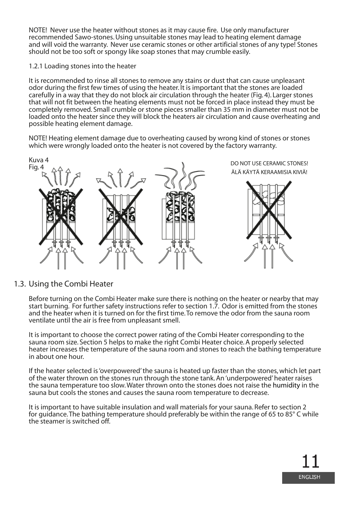NOTE! Never use the heater without stones as it may cause fire. Use only manufacturer recommended Sawo-stones. Using unsuitable stones may lead to heating element damage and will void the warranty. Never use ceramic stones or other artificial stones of any type! Stones should not be too soft or spongy like soap stones that may crumble easily.

#### 1.2.1 Loading stones into the heater

It is recommended to rinse all stones to remove any stains or dust that can cause unpleasant odor during the first few times of using the heater. It is important that the stones are loaded carefully in a way that they do not block air circulation through the heater (Fig. 4). Larger stones that will not fit between the heating elements must not be forced in place instead they must be completely removed. Small crumble or stone pieces smaller than 35 mm in diameter must not be loaded onto the heater since they will block the heaters air circulation and cause overheating and possible heating element damage.

NOTE! Heating element damage due to overheating caused by wrong kind of stones or stones which were wrongly loaded onto the heater is not covered by the factory warranty.



#### 1.3. Using the Combi Heater

Before turning on the Combi Heater make sure there is nothing on the heater or nearby that may start burning. For further safety instructions refer to section 1.7. Odor is emitted from the stones and the heater when it is turned on for the first time. To remove the odor from the sauna room ventilate until the air is free from unpleasant smell.

It is important to choose the correct power rating of the Combi Heater corresponding to the sauna room size. Section 5 helps to make the right Combi Heater choice. A properly selected heater increases the temperature of the sauna room and stones to reach the bathing temperature in about one hour.

If the heater selected is 'overpowered' the sauna is heated up faster than the stones, which let part of the water thrown on the stones run through the stone tank. An 'underpowered' heater raises the sauna temperature too slow. Water thrown onto the stones does not raise the humidity in the sauna but cools the stones and causes the sauna room temperature to decrease.

It is important to have suitable insulation and wall materials for your sauna. Refer to section 2 for guidance. The bathing temperature should preferably be within the range of 65 to 85° C while the steamer is switched off.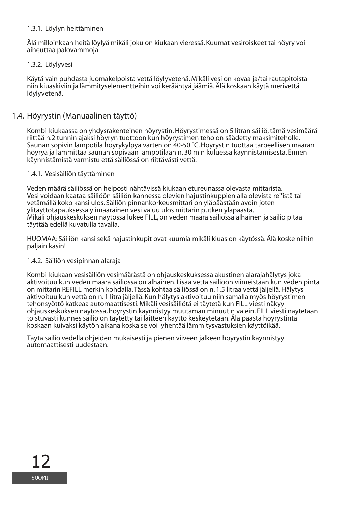#### 1.3.1. Löylyn heittäminen

Älä milloinkaan heitä löylyä mikäli joku on kiukaan vieressä. Kuumat vesiroiskeet tai höyry voi aiheuttaa palovammoja.

#### 1.3.2. Löylyvesi

Käytä vain puhdasta juomakelpoista vettä löylyvetenä. Mikäli vesi on kovaa ja/tai rautapitoista niin kiuaskiviin ja lämmityselementteihin voi kerääntyä jäämiä. Älä koskaan käytä merivettä löylyvetenä.

#### 1.4. Höyrystin (Manuaalinen täyttö)

Kombi-kiukaassa on yhdysrakenteinen höyrystin. Höyrystimessä on 5 litran säiliö, tämä vesimäärä riittää n.2 tunnin ajaksi höyryn tuottoon kun höyrystimen teho on säädetty maksimiteholle. Saunan sopivin lämpötila höyrykylpyä varten on 40-50 °C. Höyrystin tuottaa tarpeellisen määrän höyryä ja lämmittää saunan sopivaan lämpötilaan n. 30 min kuluessa käynnistämisestä. Ennen käynnistämistä varmistu että säiliössä on riittävästi vettä.

#### 1.4.1. Vesisäiliön täyttäminen

Veden määrä säiliössä on helposti nähtävissä kiukaan etureunassa olevasta mittarista. Vesi voidaan kaataa säiliöön säiliön kannessa olevien hajustinkuppien alla olevista rei'istä tai vetämällä koko kansi ulos. Säiliön pinnankorkeusmittari on yläpäästään avoin joten ylitäyttötapauksessa ylimääräinen vesi valuu ulos mittarin putken yläpäästä. Mikäli ohjauskeskuksen näytössä lukee FILL, on veden määrä säiliössä alhainen ja säiliö pitää täyttää edellä kuvatulla tavalla.

HUOMAA: Säiliön kansi sekä hajustinkupit ovat kuumia mikäli kiuas on käytössä. Älä koske niihin paljain käsin!

#### 1.4.2. Säiliön vesipinnan alaraja

Kombi-kiukaan vesisäiliön vesimäärästä on ohjauskeskuksessa akustinen alarajahälytys joka aktivoituu kun veden määrä säiliössä on alhainen. Lisää vettä säiliöön viimeistään kun veden pinta on mittarin REFILL merkin kohdalla. Tässä kohtaa säiliössä on n. 1,5 litraa vettä jäljellä. Hälytys aktivoituu kun vettä on n. 1 litra jäljellä. Kun hälytys aktivoituu niin samalla myös höyrystimen tehonsyöttö katkeaa automaattisesti. Mikäli vesisäiliötä ei täytetä kun FILL viesti näkyy ohjauskeskuksen näytössä, höyrystin käynnistyy muutaman minuutin välein. FILL viesti näytetään toistuvasti kunnes säiliö on täytetty tai laitteen käyttö keskeytetään. Älä päästä höyrystintä koskaan kuivaksi käytön aikana koska se voi lyhentää lämmitysvastuksien käyttöikää.

Täytä säiliö vedellä ohjeiden mukaisesti ja pienen viiveen jälkeen höyrystin käynnistyy automaattisesti uudestaan.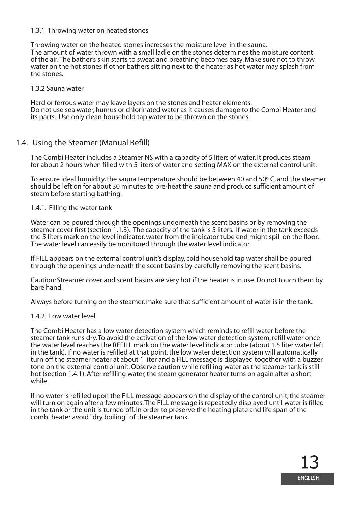#### 1.3.1 Throwing water on heated stones

Throwing water on the heated stones increases the moisture level in the sauna. The amount of water thrown with a small ladle on the stones determines the moisture content of the air. The bather's skin starts to sweat and breathing becomes easy. Make sure not to throw water on the hot stones if other bathers sitting next to the heater as hot water may splash from the stones.

#### 1.3.2 Sauna water

Hard or ferrous water may leave layers on the stones and heater elements. Do not use sea water, humus or chlorinated water as it causes damage to the Combi Heater and its parts. Use only clean household tap water to be thrown on the stones.

#### 1.4. Using the Steamer (Manual Refill)

The Combi Heater includes a Steamer NS with a capacity of 5 liters of water. It produces steam for about 2 hours when filled with 5 liters of water and setting MAX on the external control unit.

To ensure ideal humidity, the sauna temperature should be between 40 and 50º C, and the steamer should be left on for about 30 minutes to pre-heat the sauna and produce sufficient amount of steam before starting bathing.

#### 1.4.1. Filling the water tank

Water can be poured through the openings underneath the scent basins or by removing the steamer cover first (section 1.1.3). The capacity of the tank is 5 liters. If water in the tank exceeds the 5 liters mark on the level indicator, water from the indicator tube end might spill on the floor. The water level can easily be monitored through the water level indicator.

If FILL appears on the external control unit's display, cold household tap water shall be poured through the openings underneath the scent basins by carefully removing the scent basins.

Caution: Streamer cover and scent basins are very hot if the heater is in use. Do not touch them by bare hand.

Always before turning on the steamer, make sure that sufficient amount of water is in the tank.

#### 1.4.2. Low water level

The Combi Heater has a low water detection system which reminds to refill water before the steamer tank runs dry. To avoid the activation of the low water detection system, refill water once the water level reaches the REFILL mark on the water level indicator tube (about 1.5 liter water left in the tank). If no water is refilled at that point, the low water detection system will automatically turn off the steamer heater at about 1 liter and a FILL message is displayed together with a buzzer tone on the external control unit. Observe caution while refilling water as the steamer tank is still hot (section 1.4.1). After refilling water, the steam generator heater turns on again after a short while.

If no water is refilled upon the FILL message appears on the display of the control unit, the steamer will turn on again after a few minutes. The FILL message is repeatedly displayed until water is filled in the tank or the unit is turned off. In order to preserve the heating plate and life span of the combi heater avoid "dry boiling" of the steamer tank.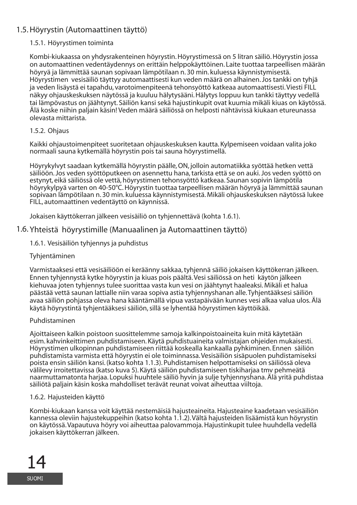#### 1.5. Höyrystin (Automaattinen täyttö)

#### 1.5.1. Höyrystimen toiminta

Kombi-kiukaassa on yhdysrakenteinen höyrystin. Höyrystimessä on 5 litran säiliö. Höyrystin jossa on automaattinen vedentäydennys on erittäin helppokäyttöinen. Laite tuottaa tarpeellisen määrän höyryä ja lämmittää saunan sopivaan lämpötilaan n. 30 min. kuluessa käynnistymisestä. Höyrystimen vesisäiliö täyttyy automaattisesti kun veden määrä on alhainen. Jos tankki on tyhjä ja veden lisäystä ei tapahdu, varotoimenpiteenä tehonsyöttö katkeaa automaattisesti. Viesti FILL näkyy ohjauskeskuksen näytössä ja kuuluu hälytysääni. Hälytys loppuu kun tankki täyttyy vedellä tai lämpövastus on jäähtynyt. Säiliön kansi sekä hajustinkupit ovat kuumia mikäli kiuas on käytössä. Älä koske niihin paljain käsin! Veden määrä säiliössä on helposti nähtävissä kiukaan etureunassa olevasta mittarista.

#### 1.5.2. Ohjaus

Kaikki ohjaustoimenpiteet suoritetaan ohjauskeskuksen kautta. Kylpemiseen voidaan valita joko normaali sauna kytkemällä höyrystin pois tai sauna höyrystimellä.

Höyrykylvyt saadaan kytkemällä höyrystin päälle, ON, jolloin automatiikka syöttää hetken vettä säiliöön. Jos veden syöttöputkeen on asennettu hana, tarkista että se on auki. Jos veden syöttö on estynyt, eikä säiliössä ole vettä, höyrystimen tehonsyöttö katkeaa. Saunan sopivin lämpötila höyrykylpyä varten on 40-50°C. Höyrystin tuottaa tarpeellisen määrän höyryä ja lämmittää saunan sopivaan lämpötilaan n. 30 min. kuluessa käynnistymisestä. Mikäli ohjauskeskuksen näytössä lukee FILL, automaattinen vedentäyttö on käynnissä.

Jokaisen käyttökerran jälkeen vesisäiliö on tyhjennettävä (kohta 1.6.1).

#### 1.6. Yhteistä höyrystimille (Manuaalinen ja Automaattinen täyttö)

1.6.1. Vesisäiliön tyhjennys ja puhdistus

#### **Tyhientäminen**

Varmistaaksesi että vesisäiliöön ei keräänny sakkaa, tyhjennä säiliö jokaisen käyttökerran jälkeen. Ennen tyhjennystä kytke höyrystin ja kiuas pois päältä. Vesi säiliössä on heti käytön jälkeen kiehuvaa joten tyhjennys tulee suorittaa vasta kun vesi on jäähtynyt haaleaksi. Mikäli et halua päästää vettä saunan lattialle niin varaa sopiva astia tyhjennyshanan alle. Tyhjentääksesi säiliön avaa säiliön pohjassa oleva hana kääntämällä vipua vastapäivään kunnes vesi alkaa valua ulos. Älä käytä höyrystintä tyhjentääksesi säiliön, sillä se lyhentää höyrystimen käyttöikää.

#### Puhdistaminen

Ajoittaiseen kalkin poistoon suosittelemme samoja kalkinpoistoaineita kuin mitä käytetään esim. kahvinkeittimen puhdistamiseen. Käytä puhdistuaineita valmistajan ohjeiden mukaisesti. Höyrystimen ulkopinnan puhdistamiseen riittää koskealla kankaalla pyhkiminen. Ennen säiliön puhdistamista varmista että höyrystin ei ole toiminnassa. Vesisäiliön sisäpuolen puhdistamiseksi poista ensin säiliön kansi. (katso kohta 1.1.3). Puhdistamisen helpottamiseksi on säiliössä oleva välilevy irroitettavissa (katso kuva 5). Käytä säiliön puhdistamiseen tiskiharjaa tmv pehmeätä naarmuttamatonta harjaa. Lopuksi huuhtele säiliö hyvin ja sulje tyhjennyshana. Älä yritä puhdistaa säiliötä paljain käsin koska mahdolliset terävät reunat voivat aiheuttaa viiltoja.

#### 1.6.2. Hajusteiden käyttö

Kombi-kiukaan kanssa voit käyttää nestemäisiä hajusteaineita. Hajusteaine kaadetaan vesisäiliön kannessa oleviin hajustekuppeihin (katso kohta 1.1.2). Vältä hajusteiden lisäämistä kun höyrystin on käytössä. Vapautuva höyry voi aiheuttaa palovammoja. Hajustinkupit tulee huuhdella vedellä jokaisen käyttökerran jälkeen.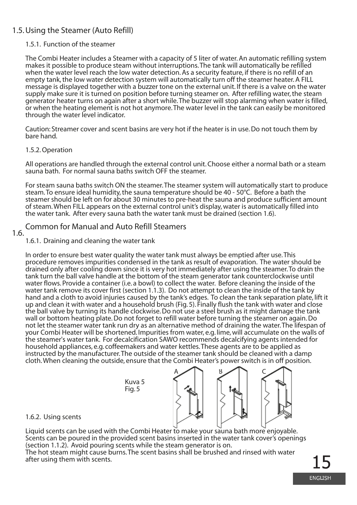#### 1.5. Using the Steamer (Auto Refill)

#### 1.5.1. Function of the steamer

The Combi Heater includes a Steamer with a capacity of 5 liter of water. An automatic refilling system makes it possible to produce steam without interruptions. The tank will automatically be refilled when the water level reach the low water detection. As a security feature, if there is no refill of an empty tank, the low water detection system will automatically turn off the steamer heater. A FILL message is displayed together with a buzzer tone on the external unit. If there is a valve on the water supply make sure it is turned on position before turning steamer on. After refilling water, the steam generator heater turns on again after a short while. The buzzer will stop alarming when water is filled, or when the heating element is not hot anymore. The water level in the tank can easily be monitored through the water level indicator.

Caution: Streamer cover and scent basins are very hot if the heater is in use. Do not touch them by bare hand.

#### 1.5.2. Operation

All operations are handled through the external control unit. Choose either a normal bath or a steam sauna bath. For normal sauna baths switch OFF the steamer.

For steam sauna baths switch ON the steamer. The steamer system will automatically start to produce steam. To ensure ideal humidity, the sauna temperature should be 40 - 50°C. Before a bath the steamer should be left on for about 30 minutes to pre-heat the sauna and produce sufficient amount of steam. When FILL appears on the external control unit's display, water is automatically filled into the water tank. After every sauna bath the water tank must be drained (section 1.6).

#### Common for Manual and Auto Refill Steamers

#### 1.6.

1.6.1. Draining and cleaning the water tank

In order to ensure best water quality the water tank must always be emptied after use. This procedure removes impurities condensed in the tank as result of evaporation. The water should be drained only after cooling down since it is very hot immediately after using the steamer. To drain the tank turn the ball valve handle at the bottom of the steam generator tank counterclockwise until water flows. Provide a container (i.e. a bowl) to collect the water. Before cleaning the inside of the water tank remove its cover first (section 1.1.3). Do not attempt to clean the inside of the tank by hand and a cloth to avoid injuries caused by the tank's edges. To clean the tank separation plate, lift it up and clean it with water and a household brush (Fig. 5). Finally flush the tank with water and close the ball valve by turning its handle clockwise. Do not use a steel brush as it might damage the tank wall or bottom heating plate. Do not forget to refill water before turning the steamer on again. Do not let the steamer water tank run dry as an alternative method of draining the water. The lifespan of your Combi Heater will be shortened. Impurities from water, e.g. lime, will accumulate on the walls of the steamer's water tank. For decalcification SAWO recommends decalcifying agents intended for household appliances, e.g. coffeemakers and water kettles. These agents are to be applied as instructed by the manufacturer. The outside of the steamer tank should be cleaned with a damp cloth. When cleaning the outside, ensure that the Combi Heater's power switch is in off position.

> Kuva 5 Fig. 5



#### 1.6.2. Using scents

Liquid scents can be used with the Combi Heater to make your sauna bath more enjoyable. Scents can be poured in the provided scent basins inserted in the water tank cover's openings (section 1.1.2). Avoid pouring scents while the steam generator is on. The hot steam might cause burns. The scent basins shall be brushed and rinsed with water

after using them with scents.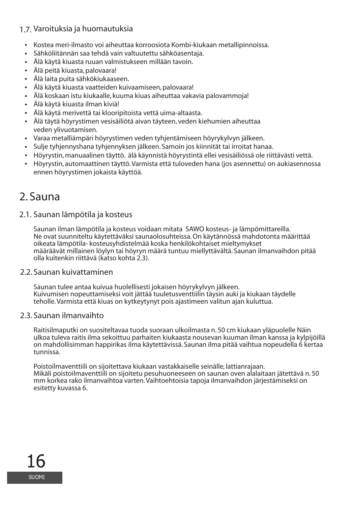#### 1.7. Varoituksia ja huomautuksia

- Kostea meri-ilmasto voi aiheuttaa korroosiota Kombi-kiukaan metallipinnoissa. •
- Sähköliitännän saa tehdä vain valtuutettu sähköasentaja. •
- Älä käytä kiuasta ruuan valmistukseen millään tavoin. •
- Älä peitä kiuasta, palovaara! •
- Älä laita puita sähkökiukaaseen. •
- Älä käytä kiuasta vaatteiden kuivaamiseen, palovaara! •
- Älä koskaan istu kiukaalle, kuuma kiuas aiheuttaa vakavia palovammoja! •
- Älä käytä kiuasta ilman kiviä! •
- Älä käytä merivettä tai klooripitoista vettä uima-altaasta. •
- Älä täytä höyrystimen vesisäiliötä aivan täyteen, veden kiehumien aiheuttaa veden ylivuotamisen.
- Varaa metalliämpäri höyrystimen veden tyhjentämiseen höyrykylvyn jälkeen. •
- Sulje tyhjennyshana tyhjennyksen jälkeen. Samoin jos kiinnität tai irroitat hanaa. •
- Höyrystin, manuaalinen täyttö. älä käynnistä höyrystintä ellei vesisäiliössä ole riittävästi vettä. •
- Höyrystin, automaattinen täyttö. Varmista että tuloveden hana (jos asennettu) on aukiasennossa ennen höyrystimen jokaista käyttöä.

### 2. Sauna

#### 2.1. Saunan lämpötila ja kosteus

Saunan ilman lämpötila ja kosteus voidaan mitata SAWO kosteus- ja lämpömittareilla. Ne ovat suunniteltu käytettäväksi saunaolosuhteissa. On käytännössä mahdotonta määrittää oikeata lämpötila- kosteusyhdistelmää koska henkilökohtaiset mieltymykset määräävät millainen löylyn tai höyryn määrä tuntuu miellyttävältä. Saunan ilmanvaihdon pitää olla kuitenkin riittävä (katso kohta 2.3).

#### 2.2. Saunan kuivattaminen

Saunan tulee antaa kuivua huolellisesti jokaisen höyrykylvyn jälkeen. Kuivumisen nopeuttamiseksi voit jättää tuuletusventtiilin täysin auki ja kiukaan täydelle teholle. Varmista että kiuas on kytkeytynyt pois ajastimeen valitun ajan kuluttua.

#### 2.3. Saunan ilmanvaihto

Raitisilmaputki on suositeltavaa tuoda suoraan ulkoilmasta n. 50 cm kiukaan yläpuolelle Näin ulkoa tuleva raitis ilma sekoittuu parhaiten kiukaasta nousevan kuuman ilman kanssa ja kylpijöillä on mahdollisimman happirikas ilma käytettävissä. Saunan ilma pitää vaihtua nopeudella 6 kertaa tunnissa.

Poistoilmaventtiili on sijoitettava kiukaan vastakkaiselle seinälle, lattianrajaan. Mikäli poistoilmaventtiili on sijoitetu pesuhuoneeseen on saunan oven alalaitaan jätettävä n. 50 mm korkea rako ilmanvaihtoa varten. Vaihtoehtoisia tapoja ilmanvaihdon järjestämiseksi on esitetty kuvassa 6.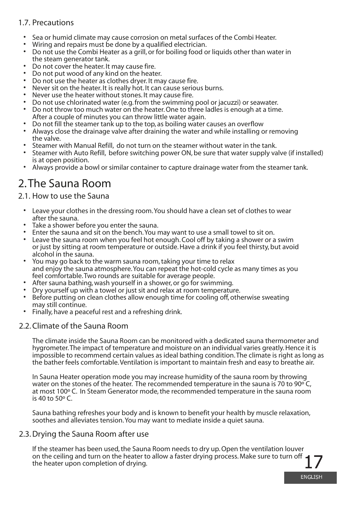#### 1.7. Precautions

- Sea or humid climate may cause corrosion on metal surfaces of the Combi Heater. •
- Wiring and repairs must be done by a qualified electrician. •
- Do not use the Combi Heater as a grill, or for boiling food or liquids other than water in the steam generator tank.
- Do not cover the heater. It may cause fire.
- Do not put wood of any kind on the heater.
- Do not use the heater as clothes dryer. It may cause fire.
- Never sit on the heater. It is really hot. It can cause serious burns. •
- Never use the heater without stones. It may cause fire. •
- Do not use chlorinated water (e.g. from the swimming pool or jacuzzi) or seawater. •
- Do not throw too much water on the heater. One to three ladles is enough at a time. After a couple of minutes you can throw little water again. •
- Do not fill the steamer tank up to the top, as boiling water causes an overflow •
- Always close the drainage valve after draining the water and while installing or removing the valve. •
- Steamer with Manual Refill, do not turn on the steamer without water in the tank. •
- Steamer with Auto Refill, before switching power ON, be sure that water supply valve (if installed) is at open position. •
- Always provide a bowl or similar container to capture drainage water from the steamer tank.

## 2. The Sauna Room

#### 2.1. How to use the Sauna

- Leave your clothes in the dressing room. You should have a clean set of clothes to wear after the sauna. •
- Take a shower before you enter the sauna. •
- Enter the sauna and sit on the bench. You may want to use a small towel to sit on.
- Leave the sauna room when you feel hot enough. Cool off by taking a shower or a swim or just by sitting at room temperature or outside. Have a drink if you feel thirsty, but avoid alcohol in the sauna. •
- You may go back to the warm sauna room, taking your time to relax and enjoy the sauna atmosphere. You can repeat the hot-cold cycle as many times as you feel comfortable. Two rounds are suitable for average people. •
- After sauna bathing, wash yourself in a shower, or go for swimming. •
- Dry yourself up with a towel or just sit and relax at room temperature. •
- Before putting on clean clothes allow enough time for cooling off, otherwise sweating may still continue. •
- Finally, have a peaceful rest and a refreshing drink. •

#### 2.2. Climate of the Sauna Room

The climate inside the Sauna Room can be monitored with a dedicated sauna thermometer and hygrometer. The impact of temperature and moisture on an individual varies greatly. Hence it is impossible to recommend certain values as ideal bathing condition. The climate is right as long as the bather feels comfortable. Ventilation is important to maintain fresh and easy to breathe air.

In Sauna Heater operation mode you may increase humidity of the sauna room by throwing water on the stones of the heater. The recommended temperature in the sauna is 70 to 90 $^{\circ}$ C, at most 100º C. In Steam Generator mode, the recommended temperature in the sauna room is 40 to 50º C.

Sauna bathing refreshes your body and is known to benefit your health by muscle relaxation, soothes and alleviates tension. You may want to mediate inside a quiet sauna.

#### 2.3. Drying the Sauna Room after use

If the steamer has been used, the Sauna Room needs to dry up. Open the ventilation louver on the ceiling and turn on the heater to allow a faster drying process. Make sure to turn off the heater upon completion of drying.

**ENGLISH**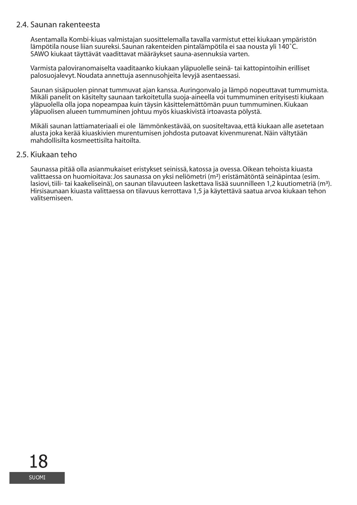#### 2.4. Saunan rakenteesta

Asentamalla Kombi-kiuas valmistajan suosittelemalla tavalla varmistut ettei kiukaan ympäristön lämpötila nouse liian suureksi. Saunan rakenteiden pintalämpötila ei saa nousta yli 140˚C. SAWO kiukaat täyttävät vaadittavat määräykset sauna-asennuksia varten.

Varmista paloviranomaiselta vaaditaanko kiukaan yläpuolelle seinä- tai kattopintoihin erilliset palosuojalevyt. Noudata annettuja asennusohjeita levyjä asentaessasi.

Saunan sisäpuolen pinnat tummuvat ajan kanssa. Auringonvalo ja lämpö nopeuttavat tummumista. Mikäli panelit on käsitelty saunaan tarkoitetulla suoja-aineella voi tummuminen erityisesti kiukaan yläpuolella olla jopa nopeampaa kuin täysin käsittelemättömän puun tummuminen. Kiukaan yläpuolisen alueen tummuminen johtuu myös kiuaskivistä irtoavasta pölystä.

Mikäli saunan lattiamateriaali ei ole lämmönkestävää, on suositeltavaa, että kiukaan alle asetetaan alusta joka kerää kiuaskivien murentumisen johdosta putoavat kivenmurenat. Näin vältytään mahdollisilta kosmeettisilta haitoilta.

#### 2.5. Kiukaan teho

Saunassa pitää olla asianmukaiset eristykset seinissä, katossa ja ovessa. Oikean tehoista kiuasta valittaessa on huomioitava: Jos saunassa on yksi neliömetri (m²) eristämätöntä seinäpintaa (esim. lasiovi, tiili- tai kaakeliseinä), on saunan tilavuuteen laskettava lisää suunnilleen 1,2 kuutiometriä (m³). Hirsisaunaan kiuasta valittaessa on tilavuus kerrottava 1,5 ja käytettävä saatua arvoa kiukaan tehon valitsemiseen.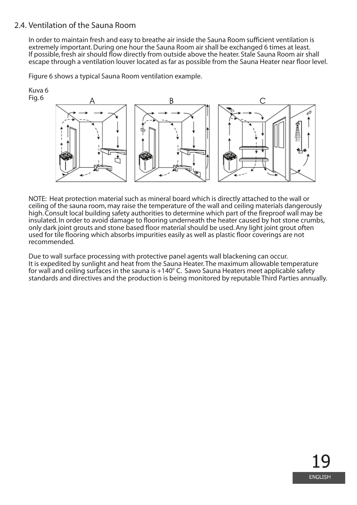#### 2.4. Ventilation of the Sauna Room

In order to maintain fresh and easy to breathe air inside the Sauna Room sufficient ventilation is extremely important. During one hour the Sauna Room air shall be exchanged 6 times at least. If possible, fresh air should flow directly from outside above the heater. Stale Sauna Room air shall escape through a ventilation louver located as far as possible from the Sauna Heater near floor level.

Figure 6 shows a typical Sauna Room ventilation example.



NOTE: Heat protection material such as mineral board which is directly attached to the wall or ceiling of the sauna room, may raise the temperature of the wall and ceiling materials dangerously high. Consult local building safety authorities to determine which part of the fireproof wall may be insulated. In order to avoid damage to flooring underneath the heater caused by hot stone crumbs, only dark joint grouts and stone based floor material should be used. Any light joint grout often used for tile flooring which absorbs impurities easily as well as plastic floor coverings are not recommended.

Due to wall surface processing with protective panel agents wall blackening can occur. It is expedited by sunlight and heat from the Sauna Heater. The maximum allowable temperature for wall and ceiling surfaces in the sauna is +140° C. Sawo Sauna Heaters meet applicable safety standards and directives and the production is being monitored by reputable Third Parties annually.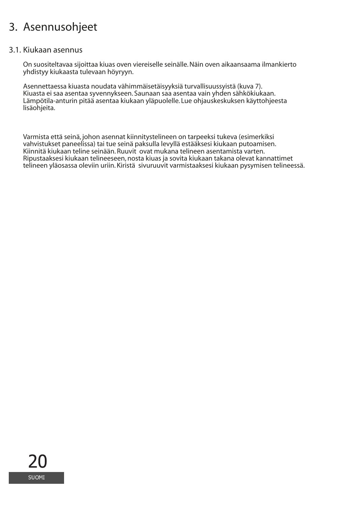### Asennusohjeet 3.

#### 3.1. Kiukaan asennus

On suositeltavaa sijoittaa kiuas oven viereiselle seinälle. Näin oven aikaansaama ilmankierto yhdistyy kiukaasta tulevaan höyryyn.

Asennettaessa kiuasta noudata vähimmäisetäisyyksiä turvallisuussyistä (kuva 7). Kiuasta ei saa asentaa syvennykseen. Saunaan saa asentaa vain yhden sähkökiukaan. Lämpötila-anturin pitää asentaa kiukaan yläpuolelle. Lue ohjauskeskuksen käyttohjeesta lisäohjeita.

Varmista että seinä, johon asennat kiinnitystelineen on tarpeeksi tukeva (esimerkiksi vahvistukset paneelissa) tai tue seinä paksulla levyllä estääksesi kiukaan putoamisen. Kiinnitä kiukaan teline seinään. Ruuvit ovat mukana telineen asentamista varten. Ripustaaksesi kiukaan telineeseen, nosta kiuas ja sovita kiukaan takana olevat kannattimet telineen yläosassa oleviin uriin. Kiristä sivuruuvit varmistaaksesi kiukaan pysymisen telineessä.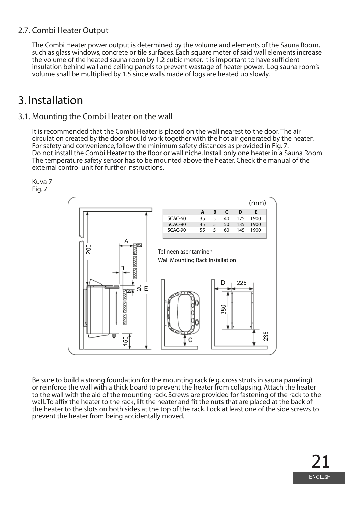#### 2.7. Combi Heater Output

The Combi Heater power output is determined by the volume and elements of the Sauna Room, such as glass windows, concrete or tile surfaces. Each square meter of said wall elements increase the volume of the heated sauna room by 1.2 cubic meter. It is important to have sufficient insulation behind wall and ceiling panels to prevent wastage of heater power. Log sauna room's volume shall be multiplied by 1.5 since walls made of logs are heated up slowly.

### 3. Installation

#### 3.1. Mounting the Combi Heater on the wall

It is recommended that the Combi Heater is placed on the wall nearest to the door. The air circulation created by the door should work together with the hot air generated by the heater. For safety and convenience, follow the minimum safety distances as provided in Fig. 7. Do not install the Combi Heater to the floor or wall niche. Install only one heater in a Sauna Room. The temperature safety sensor has to be mounted above the heater. Check the manual of the external control unit for further instructions.

Kuva 7 Fig. 7



Be sure to build a strong foundation for the mounting rack (e.g. cross struts in sauna paneling) or reinforce the wall with a thick board to prevent the heater from collapsing. Attach the heater to the wall with the aid of the mounting rack. Screws are provided for fastening of the rack to the wall. To affix the heater to the rack, lift the heater and fit the nuts that are placed at the back of the heater to the slots on both sides at the top of the rack. Lock at least one of the side screws to prevent the heater from being accidentally moved.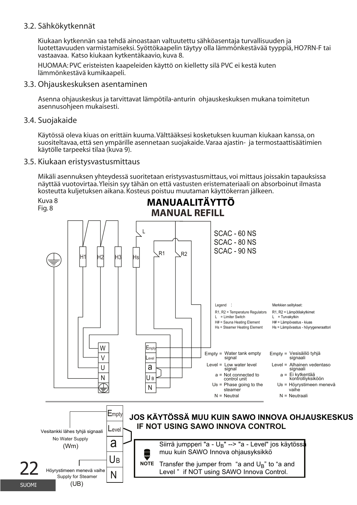#### Sähkökytkennät 3.2.

Kiukaan kytkennän saa tehdä ainoastaan valtuutettu sähköasentaja turvallisuuden ja luotettavuuden varmistamiseksi. Syöttökaapelin täytyy olla lämmönkestävää tyyppiä, HO7RN-F tai vastaavaa. Katso kiukaan kytkentäkaavio, kuva 8.

HUOMAA: PVC eristeisten kaapeleiden käyttö on kielletty silä PVC ei kestä kuten lämmönkestävä kumikaapeli.

3.3. Ohjauskeskuksen asentaminen

Asenna ohjauskeskus ja tarvittavat lämpötila-anturin ohjauskeskuksen mukana toimitetun asennusohjeen mukaisesti.

3.4. Suojakaide

Käytössä oleva kiuas on erittäin kuuma. Välttääksesi kosketuksen kuuman kiukaan kanssa, on suositeltavaa, että sen ympärille asennetaan suojakaide. Varaa ajastin- ja termostaattisäätimien käytölle tarpeeksi tilaa (kuva 9).

3.5. Kiukaan eristysvastusmittaus

Mikäli asennuksen yhteydessä suoritetaan eristysvastusmittaus, voi mittaus joissakin tapauksissa näyttää vuotovirtaa. Yleisin syy tähän on että vastusten eristemateriaali on absorboinut ilmasta kosteutta kuljetuksen aikana. Kosteus poistuu muutaman käyttökerran jälkeen.

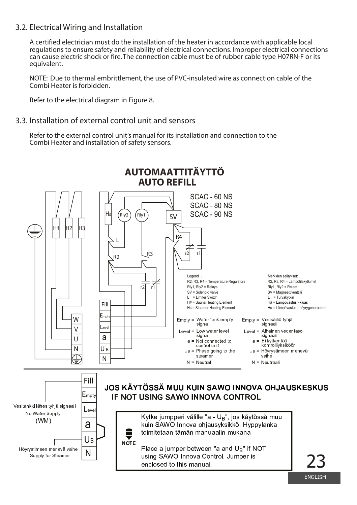#### 3.2. Electrical Wiring and Installation

A certified electrician must do the installation of the heater in accordance with applicable local regulations to ensure safety and reliability of electrical connections. Improper electrical connections can cause electric shock or fire. The connection cable must be of rubber cable type H07RN-F or its equivalent.

NOTE: Due to thermal embrittlement, the use of PVC-insulated wire as connection cable of the Combi Heater is forbidden

Refer to the electrical diagram in Figure 8.

#### 3.3 Installation of external control unit and sensors

Refer to the external control unit's manual for its installation and connection to the Combi Heater and installation of safety sensors.



**FNGLISH**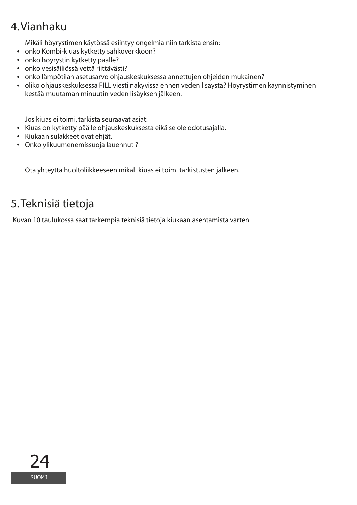# 4. Vianhaku

Mikäli höyrystimen käytössä esiintyy ongelmia niin tarkista ensin:

- onko Kombi-kiuas kytketty sähköverkkoon? **•**
- onko höyrystin kytketty päälle? **•**
- onko vesisäiliössä vettä riittävästi? **•**
- onko lämpötilan asetusarvo ohjauskeskuksessa annettujen ohjeiden mukainen? **•**
- oliko ohjauskeskuksessa FILL viesti näkyvissä ennen veden lisäystä? Höyrystimen käynnistyminen **•** kestää muutaman minuutin veden lisäyksen jälkeen.

Jos kiuas ei toimi, tarkista seuraavat asiat:

- Kiuas on kytketty päälle ohjauskeskuksesta eikä se ole odotusajalla. **•**
- Kiukaan sulakkeet ovat ehjät. **•**
- Onko ylikuumenemissuoja lauennut ? **•**

Ota yhteyttä huoltoliikkeeseen mikäli kiuas ei toimi tarkistusten jälkeen.

### 5. Teknisiä tietoja

Kuvan 10 taulukossa saat tarkempia teknisiä tietoja kiukaan asentamista varten.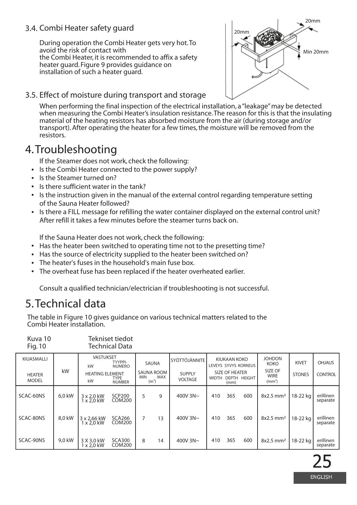#### 3.4. Combi Heater safety guard

During operation the Combi Heater gets very hot. To avoid the risk of contact with the Combi Heater, it is recommended to affix a safety heater guard. Figure 9 provides guidance on installation of such a heater guard.



3.5. Effect of moisture during transport and storage

When performing the final inspection of the electrical installation, a "leakage" may be detected when measuring the Combi Heater's insulation resistance. The reason for this is that the insulating material of the heating resistors has absorbed moisture from the air (during storage and/or transport). After operating the heater for a few times, the moisture will be removed from the resistors.

### 4. Troubleshooting

If the Steamer does not work, check the following:

- Is the Combi Heater connected to the power supply? **•**
- Is the Steamer turned on?
- **•** Is there sufficient water in the tank?
- Is the instruction given in the manual of the external control regarding temperature setting of the Sauna Heater followed?
- Is there a FILL message for refilling the water container displayed on the external control unit? After refill it takes a few minutes before the steamer turns back on.

If the Sauna Heater does not work, check the following:

- Has the heater been switched to operating time not to the presetting time?
- Has the source of electricity supplied to the heater been switched on?
- The heater's fuses in the household's main fuse box. **•**
- The overheat fuse has been replaced if the heater overheated earlier. **•**

Consult a qualified technician/electrician if troubleshooting is not successful.

### 5. Technical data

Kuva 10 Tekniset tiedot

The table in Figure 10 gives guidance on various technical matters related to the Combi Heater installation.

| Fig. 10                       |        |                                                    | Technical Data          |                                                             |    |                                 |                                                        |               |                                       |                         |                              |                       |               |
|-------------------------------|--------|----------------------------------------------------|-------------------------|-------------------------------------------------------------|----|---------------------------------|--------------------------------------------------------|---------------|---------------------------------------|-------------------------|------------------------------|-----------------------|---------------|
| KIUASMALLI                    |        | <b>VASTUKSET</b><br>TYYPPI-<br>kW<br><b>NUMERO</b> |                         |                                                             |    | SAUNA                           |                                                        | SYÖTTÖJÄNNITE | KIUKAAN KOKO<br>LEVEYS SYVYS KORKEUS  |                         | <b>JOHDON</b><br><b>KOKO</b> | <b>KIVET</b>          | <b>OHJAUS</b> |
| <b>HEATER</b><br><b>MODEL</b> | kW     | <b>HEATING ELEMENT</b><br>kW                       | TYPE<br><b>NUMBER</b>   | <b>SAUNA ROOM</b><br>MAX<br><b>MIN</b><br>(m <sup>3</sup> ) |    | <b>SUPPLY</b><br><b>VOLTAGE</b> | SIZE OF HEATER<br>DEPTH HEIGHT<br><b>WIDTH</b><br>(mm) |               | SIZE OF<br>WIRE<br>(mm <sup>2</sup> ) | <b>STONES</b>           | <b>CONTROL</b>               |                       |               |
| SCAC-60NS                     | 6.0 kW | 3 x 2.0 kW<br>1 x 2.0 kW                           | <b>SCP200</b><br>COM200 | 5                                                           | 9  | 400V $3N \sim$                  | 410                                                    | 365           | 600                                   | $8x2.5$ mm <sup>2</sup> | 18-22 ka                     | erillinen<br>separate |               |
| SCAC-80NS                     | 8.0 kW | 3 x 2.66 kW<br>$1 \times 2.0$ kW                   | <b>SCA266</b><br>COM200 | 7                                                           | 13 | 400V $3N \sim$                  | 410                                                    | 365           | 600                                   | 8x2.5 mm <sup>2</sup>   | 18-22 ka                     | erillinen<br>separate |               |
| SCAC-90NS                     | 9.0 kW | 3 X 3.0 kW<br>1 x 2.0 kW                           | <b>SCA300</b><br>COM200 | 8                                                           | 14 | 400V 3N~                        | 410                                                    | 365           | 600                                   | 8x2.5 mm <sup>2</sup>   | 18-22 ka                     | erillinen<br>separate |               |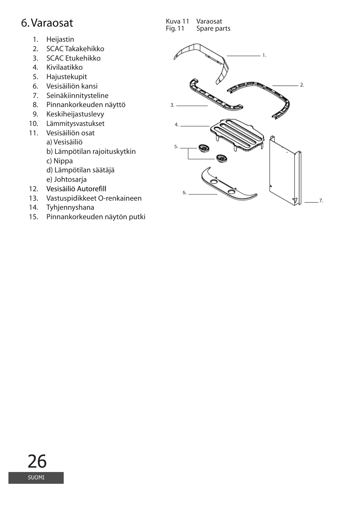### 6. Varaosat

- 1. Heijastin
- SCAC Takakehikko 2.
- SCAC Etukehikko 3.
- 4. Kivilaatikko
- 5. Hajustekupit
- Vesisäiliön kansi 6.
- 7. Seinäkiinnitysteline
- Pinnankorkeuden näyttö 8.
- 9. Keskiheijastuslevy
- Lämmitysvastukset 10.
- Vesisäiliön osat 11.
	- a) Vesisäiliö
		- b) Lämpötilan rajoituskytkin
		- c) Nippa
		- d) Lämpötilan säätäjä
		- e) Johtosarja
- Vesisäiliö Autorefill 12.
- 13. Vastuspidikkeet O-renkaineen
- 14. Tyhjennyshana
- Pinnankorkeuden näytön putki 15.

Kuva 11 Varaosat<br>Fig. 11 Spare pa Spare parts

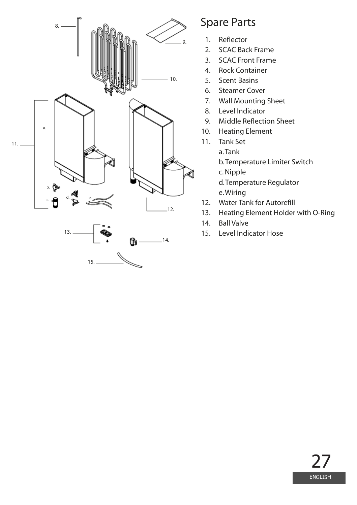

15.

### Spare Parts

- 1. Reflector
- SCAC Back Frame  $2<sub>1</sub>$
- 3. SCAC Front Frame
- 4. Rock Container
- Scent Basins 5.
- Steamer Cover 6.
- 7. Wall Mounting Sheet
- Level Indicator 8.
- Middle Reflection Sheet 9.
- Heating Element 10.
- 11. Tank Set
	- a. Tank

b. Temperature Limiter Switch

c. Nipple

d. Temperature Regulator e. Wiring

- Water Tank for Autorefill 12.
- Heating Element Holder with O-Ring 13.
- Ball Valve 14.
- Level Indicator Hose 15.